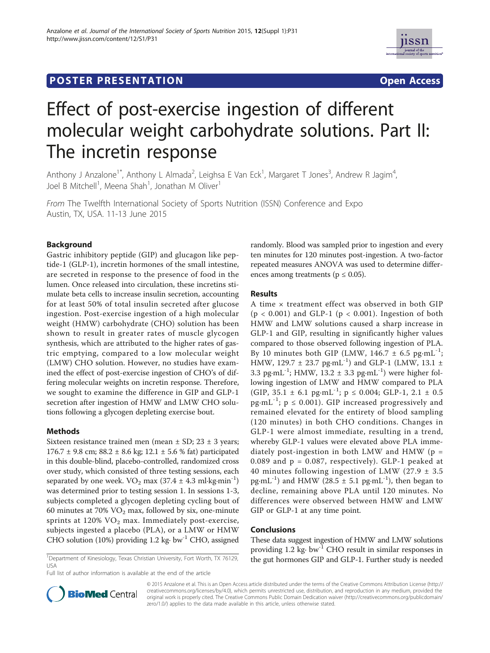## **POSTER PRESENTATION CONSUMING THE SERVICE SERVICE SERVICES**



# Effect of post-exercise ingestion of different molecular weight carbohydrate solutions. Part II: The incretin response

Anthony J Anzalone<sup>1\*</sup>, Anthony L Almada<sup>2</sup>, Leighsa E Van Eck<sup>1</sup>, Margaret T Jones<sup>3</sup>, Andrew R Jagim<sup>4</sup> , Joel B Mitchell<sup>1</sup>, Meena Shah<sup>1</sup>, Jonathan M Oliver<sup>1</sup>

From The Twelfth International Society of Sports Nutrition (ISSN) Conference and Expo Austin, TX, USA. 11-13 June 2015

## Background

Gastric inhibitory peptide (GIP) and glucagon like peptide-1 (GLP-1), incretin hormones of the small intestine, are secreted in response to the presence of food in the lumen. Once released into circulation, these incretins stimulate beta cells to increase insulin secretion, accounting for at least 50% of total insulin secreted after glucose ingestion. Post-exercise ingestion of a high molecular weight (HMW) carbohydrate (CHO) solution has been shown to result in greater rates of muscle glycogen synthesis, which are attributed to the higher rates of gastric emptying, compared to a low molecular weight (LMW) CHO solution. However, no studies have examined the effect of post-exercise ingestion of CHO's of differing molecular weights on incretin response. Therefore, we sought to examine the difference in GIP and GLP-1 secretion after ingestion of HMW and LMW CHO solutions following a glycogen depleting exercise bout.

## Methods

Sixteen resistance trained men (mean  $\pm$  SD; 23  $\pm$  3 years; 176.7  $\pm$  9.8 cm; 88.2  $\pm$  8.6 kg; 12.1  $\pm$  5.6 % fat) participated in this double-blind, placebo-controlled, randomized cross over study, which consisted of three testing sessions, each separated by one week.  $VO<sub>2</sub>$  max (37.4  $\pm$  4.3 ml·kg·min<sup>-1</sup>) was determined prior to testing session 1. In sessions 1-3, subjects completed a glycogen depleting cycling bout of 60 minutes at 70%  $VO<sub>2</sub>$  max, followed by six, one-minute sprints at  $120\%$  VO<sub>2</sub> max. Immediately post-exercise, subjects ingested a placebo (PLA), or a LMW or HMW CHO solution (10%) providing 1.2 kg $\cdot$  bw<sup>-1</sup> CHO, assigned randomly. Blood was sampled prior to ingestion and every ten minutes for 120 minutes post-ingestion. A two-factor repeated measures ANOVA was used to determine differences among treatments ( $p \leq 0.05$ ).

## Results

A time × treatment effect was observed in both GIP  $(p < 0.001)$  and GLP-1  $(p < 0.001)$ . Ingestion of both HMW and LMW solutions caused a sharp increase in GLP-1 and GIP, resulting in significantly higher values compared to those observed following ingestion of PLA. By 10 minutes both GIP (LMW,  $146.7 \pm 6.5$  pg·mL<sup>-1</sup>; HMW, 129.7  $\pm$  23.7 pg·mL<sup>-1</sup>) and GLP-1 (LMW, 13.1  $\pm$ 3.3 pg·mL<sup>-1</sup>; HMW, 13.2  $\pm$  3.3 pg·mL<sup>-1</sup>) were higher following ingestion of LMW and HMW compared to PLA (GIP,  $35.1 \pm 6.1$  pg·mL<sup>-1</sup>; p  $\leq 0.004$ ; GLP-1,  $2.1 \pm 0.5$ pg·mL<sup>-1</sup>;  $p \le 0.001$ ). GIP increased progressively and remained elevated for the entirety of blood sampling (120 minutes) in both CHO conditions. Changes in GLP-1 were almost immediate, resulting in a trend, whereby GLP-1 values were elevated above PLA immediately post-ingestion in both LMW and HMW ( $p =$ 0.089 and  $p = 0.087$ , respectively). GLP-1 peaked at 40 minutes following ingestion of LMW (27.9  $\pm$  3.5 pg·mL<sup>-1</sup>) and HMW (28.5  $\pm$  5.1 pg·mL<sup>-1</sup>), then began to decline, remaining above PLA until 120 minutes. No differences were observed between HMW and LMW GIP or GLP-1 at any time point.

## Conclusions

These data suggest ingestion of HMW and LMW solutions providing  $1.2 \text{ kg} \cdot \text{bw}^{-1}$  CHO result in similar responses in 1Department of Kinesiology, Texas Christian University, Fort Worth, TX 76129, the gut hormones GIP and GLP-1. Further study is needed

Full list of author information is available at the end of the article



© 2015 Anzalone et al. This is an Open Access article distributed under the terms of the Creative Commons Attribution License (http:// creativecommons.org/licenses/by/4.0), which permits unrestricted use, distribution, and reproduction in any medium, provided the original work is properly cited. The Creative Commons Public Domain Dedication waiver (http://creativecommons.org/publicdomain/ zero/1.0/) applies to the data made available in this article, unless otherwise stated.

USA